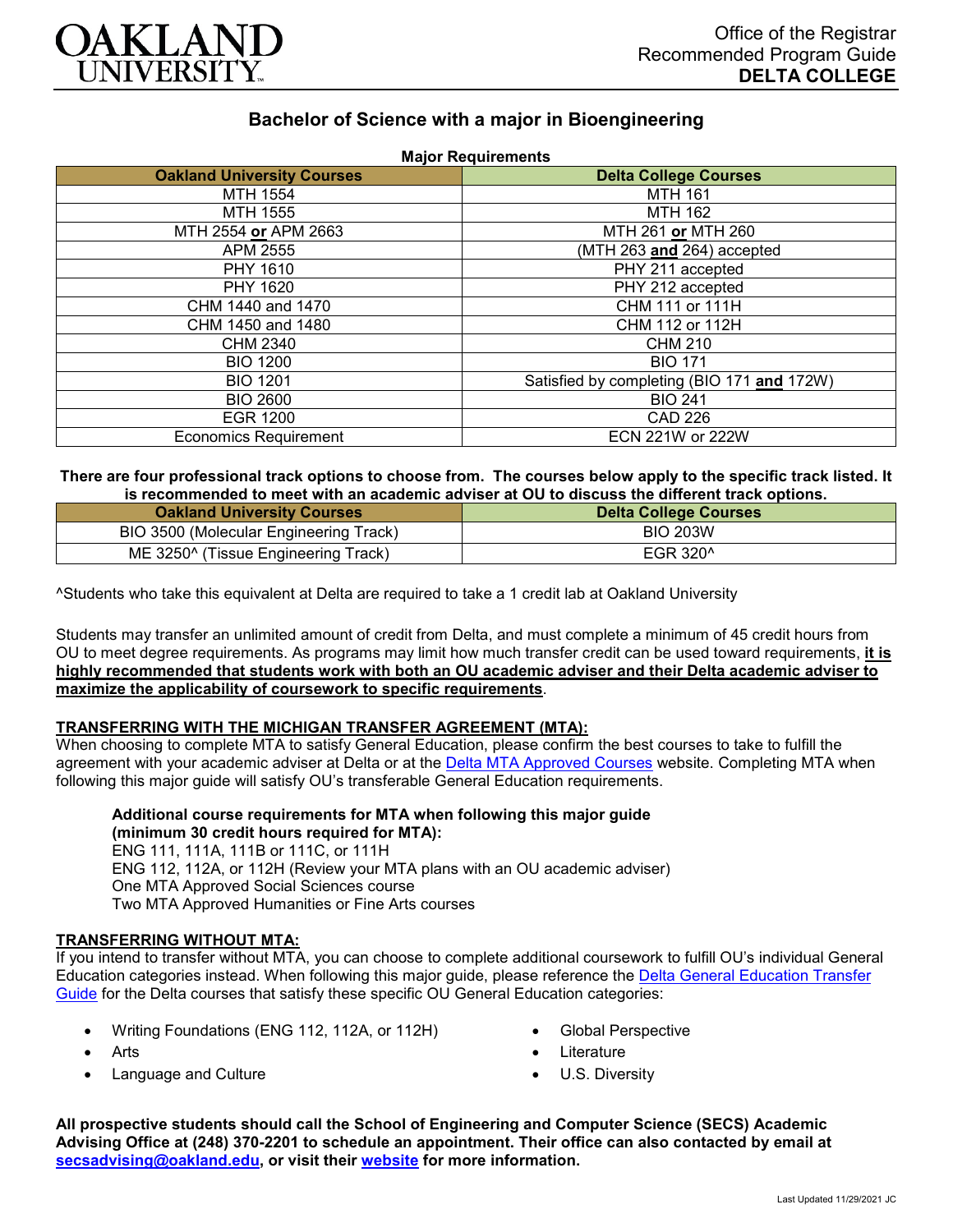

# **Bachelor of Science with a major in Bioengineering Major Requirements**

| <b>Major Requirements</b>         |                                            |
|-----------------------------------|--------------------------------------------|
| <b>Oakland University Courses</b> | <b>Delta College Courses</b>               |
| MTH 1554                          | <b>MTH 161</b>                             |
| MTH 1555                          | MTH 162                                    |
| MTH 2554 or APM 2663              | MTH 261 or MTH 260                         |
| APM 2555                          | (MTH 263 and 264) accepted                 |
| PHY 1610                          | PHY 211 accepted                           |
| PHY 1620                          | PHY 212 accepted                           |
| CHM 1440 and 1470                 | CHM 111 or 111H                            |
| CHM 1450 and 1480                 | CHM 112 or 112H                            |
| CHM 2340                          | CHM 210                                    |
| <b>BIO 1200</b>                   | <b>BIO 171</b>                             |
| <b>BIO 1201</b>                   | Satisfied by completing (BIO 171 and 172W) |
| <b>BIO 2600</b>                   | <b>BIO 241</b>                             |
| <b>EGR 1200</b>                   | CAD 226                                    |
| <b>Economics Requirement</b>      | ECN 221W or 222W                           |

#### **There are four professional track options to choose from. The courses below apply to the specific track listed. It is recommended to meet with an academic adviser at OU to discuss the different track options.**

| <b>Oakland University Courses</b>               | <b>Delta College Courses</b> |
|-------------------------------------------------|------------------------------|
| BIO 3500 (Molecular Engineering Track)          | <b>BIO 203W</b>              |
| ME 3250 <sup>^</sup> (Tissue Engineering Track) | EGR 320 <sup>^</sup>         |

^Students who take this equivalent at Delta are required to take a 1 credit lab at Oakland University

Students may transfer an unlimited amount of credit from Delta, and must complete a minimum of 45 credit hours from OU to meet degree requirements. As programs may limit how much transfer credit can be used toward requirements, **it is highly recommended that students work with both an OU academic adviser and their Delta academic adviser to maximize the applicability of coursework to specific requirements**.

# **TRANSFERRING WITH THE MICHIGAN TRANSFER AGREEMENT (MTA):**

When choosing to complete MTA to satisfy General Education, please confirm the best courses to take to fulfill the agreement with your academic adviser at Delta or at the [Delta MTA Approved Courses](http://catalog.delta.edu/content.php?catoid=11&navoid=1451) website. Completing MTA when following this major guide will satisfy OU's transferable General Education requirements.

# **Additional course requirements for MTA when following this major guide (minimum 30 credit hours required for MTA):**

ENG 111, 111A, 111B or 111C, or 111H ENG 112, 112A, or 112H (Review your MTA plans with an OU academic adviser) One MTA Approved Social Sciences course Two MTA Approved Humanities or Fine Arts courses

# **TRANSFERRING WITHOUT MTA:**

If you intend to transfer without MTA, you can choose to complete additional coursework to fulfill OU's individual General Education categories instead. When following this major guide, please reference the [Delta General Education Transfer](https://www.oakland.edu/Assets/Oakland/program-guides/delta-college/university-general-education-requirements/Delta%20Gen%20Ed.pdf)  [Guide](https://www.oakland.edu/Assets/Oakland/program-guides/delta-college/university-general-education-requirements/Delta%20Gen%20Ed.pdf) for the Delta courses that satisfy these specific OU General Education categories:

- Writing Foundations (ENG 112, 112A, or 112H)
- Arts
- Language and Culture
- Global Perspective
- Literature
- U.S. Diversity

**All prospective students should call the School of Engineering and Computer Science (SECS) Academic Advising Office at (248) 370-2201 to schedule an appointment. Their office can also contacted by email at [secsadvising@oakland.edu,](mailto:secsadvising@oakland.edu) or visit their [website](https://wwwp.oakland.edu/secs/advising/) for more information.**